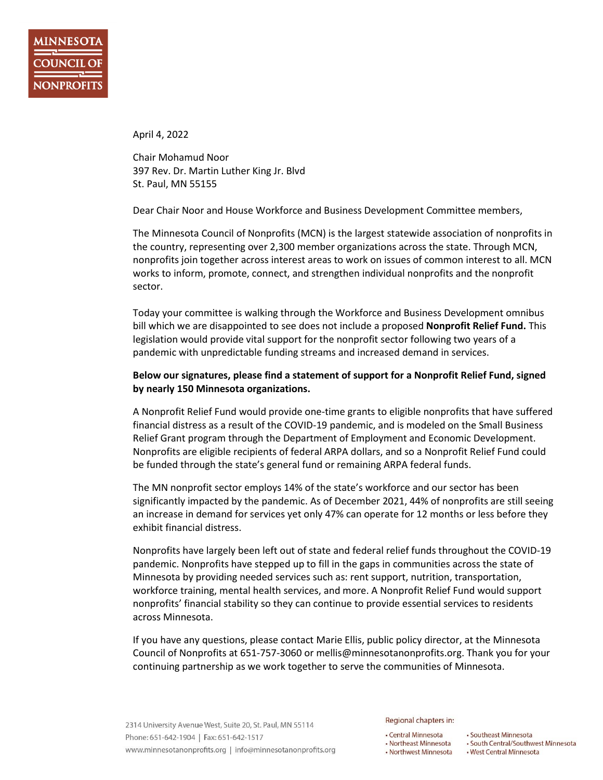April 4, 2022

Chair Mohamud Noor 397 Rev. Dr. Martin Luther King Jr. Blvd St. Paul, MN 55155

Dear Chair Noor and House Workforce and Business Development Committee members,

The Minnesota Council of Nonprofits (MCN) is the largest statewide association of nonprofits in the country, representing over 2,300 member organizations across the state. Through MCN, nonprofits join together across interest areas to work on issues of common interest to all. MCN works to inform, promote, connect, and strengthen individual nonprofits and the nonprofit sector.

Today your committee is walking through the Workforce and Business Development omnibus bill which we are disappointed to see does not include a proposed **Nonprofit Relief Fund.** This legislation would provide vital support for the nonprofit sector following two years of a pandemic with unpredictable funding streams and increased demand in services.

## **Below our signatures, please find a statement of support for a Nonprofit Relief Fund, signed by nearly 150 Minnesota organizations.**

A Nonprofit Relief Fund would provide one-time grants to eligible nonprofits that have suffered financial distress as a result of the COVID-19 pandemic, and is modeled on the Small Business Relief Grant program through the Department of Employment and Economic Development. Nonprofits are eligible recipients of federal ARPA dollars, and so a Nonprofit Relief Fund could be funded through the state's general fund or remaining ARPA federal funds.

The MN nonprofit sector employs 14% of the state's workforce and our sector has been significantly impacted by the pandemic. As of December 2021, 44% of nonprofits are still seeing an increase in demand for services yet only 47% can operate for 12 months or less before they exhibit financial distress.

Nonprofits have largely been left out of state and federal relief funds throughout the COVID-19 pandemic. Nonprofits have stepped up to fill in the gaps in communities across the state of Minnesota by providing needed services such as: rent support, nutrition, transportation, workforce training, mental health services, and more. A Nonprofit Relief Fund would support nonprofits' financial stability so they can continue to provide essential services to residents across Minnesota.

If you have any questions, please contact Marie Ellis, public policy director, at the Minnesota Council of Nonprofits at 651-757-3060 or mellis@minnesotanonprofits.org. Thank you for your continuing partnership as we work together to serve the communities of Minnesota.

## Regional chapters in:

- Central Minnesota • Northeast Minnesota
- Northwest Minnesota
- · Southeast Minnesota
- South Central/Southwest Minnesota
	- . West Central Minnesota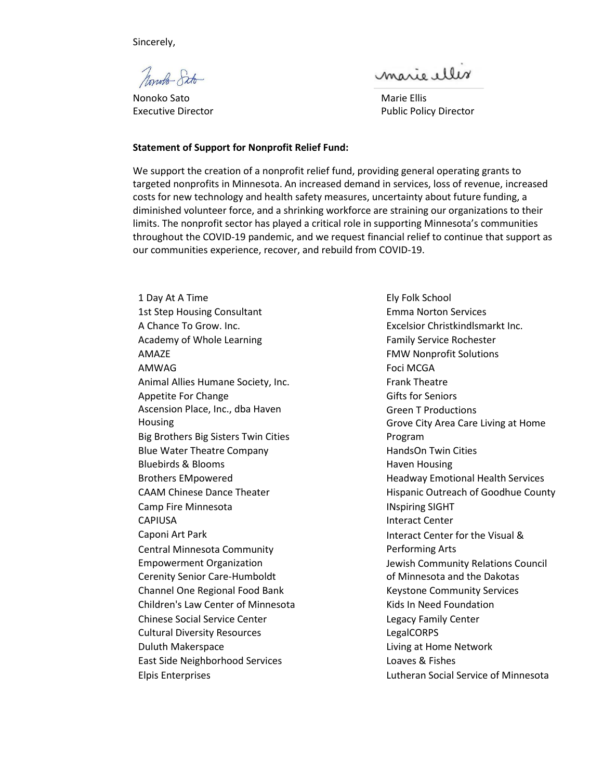Sincerely,

Nonolo Sito

Nonoko Sato Marie Ellis

marie elles

Executive Director **Public Policy Director** Public Policy Director

## **Statement of Support for Nonprofit Relief Fund:**

We support the creation of a nonprofit relief fund, providing general operating grants to targeted nonprofits in Minnesota. An increased demand in services, loss of revenue, increased costs for new technology and health safety measures, uncertainty about future funding, a diminished volunteer force, and a shrinking workforce are straining our organizations to their limits. The nonprofit sector has played a critical role in supporting Minnesota's communities throughout the COVID-19 pandemic, and we request financial relief to continue that support as our communities experience, recover, and rebuild from COVID-19.

1 Day At A Time 1st Step Housing Consultant A Chance To Grow. Inc. Academy of Whole Learning AMAZE AMWAG Animal Allies Humane Society, Inc. Appetite For Change Ascension Place, Inc., dba Haven **Housing** Big Brothers Big Sisters Twin Cities Blue Water Theatre Company Bluebirds & Blooms Brothers EMpowered CAAM Chinese Dance Theater Camp Fire Minnesota CAPIUSA Caponi Art Park Central Minnesota Community Empowerment Organization Cerenity Senior Care-Humboldt Channel One Regional Food Bank Children's Law Center of Minnesota Chinese Social Service Center Cultural Diversity Resources Duluth Makerspace East Side Neighborhood Services Elpis Enterprises

Ely Folk School Emma Norton Services Excelsior Christkindlsmarkt Inc. Family Service Rochester FMW Nonprofit Solutions Foci MCGA Frank Theatre Gifts for Seniors Green T Productions Grove City Area Care Living at Home Program HandsOn Twin Cities Haven Housing Headway Emotional Health Services Hispanic Outreach of Goodhue County INspiring SIGHT Interact Center Interact Center for the Visual & Performing Arts Jewish Community Relations Council of Minnesota and the Dakotas Keystone Community Services Kids In Need Foundation Legacy Family Center LegalCORPS Living at Home Network Loaves & Fishes Lutheran Social Service of Minnesota